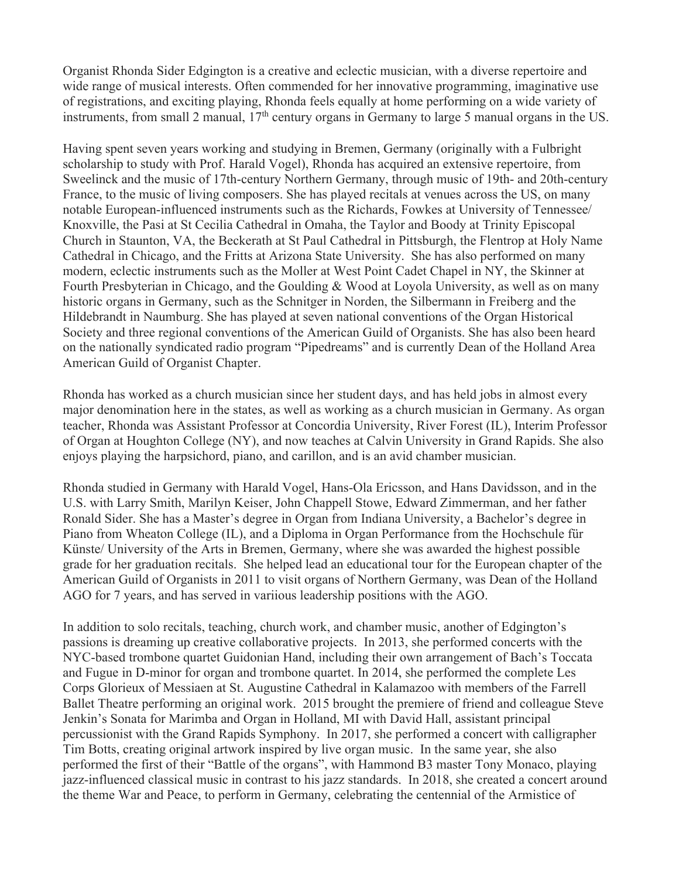Organist Rhonda Sider Edgington is a creative and eclectic musician, with a diverse repertoire and wide range of musical interests. Often commended for her innovative programming, imaginative use of registrations, and exciting playing, Rhonda feels equally at home performing on a wide variety of instruments, from small 2 manual,  $17<sup>th</sup>$  century organs in Germany to large 5 manual organs in the US.

Having spent seven years working and studying in Bremen, Germany (originally with a Fulbright scholarship to study with Prof. Harald Vogel), Rhonda has acquired an extensive repertoire, from Sweelinck and the music of 17th-century Northern Germany, through music of 19th- and 20th-century France, to the music of living composers. She has played recitals at venues across the US, on many notable European-influenced instruments such as the Richards, Fowkes at University of Tennessee/ Knoxville, the Pasi at St Cecilia Cathedral in Omaha, the Taylor and Boody at Trinity Episcopal Church in Staunton, VA, the Beckerath at St Paul Cathedral in Pittsburgh, the Flentrop at Holy Name Cathedral in Chicago, and the Fritts at Arizona State University. She has also performed on many modern, eclectic instruments such as the Moller at West Point Cadet Chapel in NY, the Skinner at Fourth Presbyterian in Chicago, and the Goulding & Wood at Loyola University, as well as on many historic organs in Germany, such as the Schnitger in Norden, the Silbermann in Freiberg and the Hildebrandt in Naumburg. She has played at seven national conventions of the Organ Historical Society and three regional conventions of the American Guild of Organists. She has also been heard on the nationally syndicated radio program "Pipedreams" and is currently Dean of the Holland Area American Guild of Organist Chapter.

Rhonda has worked as a church musician since her student days, and has held jobs in almost every major denomination here in the states, as well as working as a church musician in Germany. As organ teacher, Rhonda was Assistant Professor at Concordia University, River Forest (IL), Interim Professor of Organ at Houghton College (NY), and now teaches at Calvin University in Grand Rapids. She also enjoys playing the harpsichord, piano, and carillon, and is an avid chamber musician.

Rhonda studied in Germany with Harald Vogel, Hans-Ola Ericsson, and Hans Davidsson, and in the U.S. with Larry Smith, Marilyn Keiser, John Chappell Stowe, Edward Zimmerman, and her father Ronald Sider. She has a Master's degree in Organ from Indiana University, a Bachelor's degree in Piano from Wheaton College (IL), and a Diploma in Organ Performance from the Hochschule für Künste/ University of the Arts in Bremen, Germany, where she was awarded the highest possible grade for her graduation recitals. She helped lead an educational tour for the European chapter of the American Guild of Organists in 2011 to visit organs of Northern Germany, was Dean of the Holland AGO for 7 years, and has served in variious leadership positions with the AGO.

In addition to solo recitals, teaching, church work, and chamber music, another of Edgington's passions is dreaming up creative collaborative projects. In 2013, she performed concerts with the NYC-based trombone quartet Guidonian Hand, including their own arrangement of Bach's Toccata and Fugue in D-minor for organ and trombone quartet. In 2014, she performed the complete Les Corps Glorieux of Messiaen at St. Augustine Cathedral in Kalamazoo with members of the Farrell Ballet Theatre performing an original work. 2015 brought the premiere of friend and colleague Steve Jenkin's Sonata for Marimba and Organ in Holland, MI with David Hall, assistant principal percussionist with the Grand Rapids Symphony. In 2017, she performed a concert with calligrapher Tim Botts, creating original artwork inspired by live organ music. In the same year, she also performed the first of their "Battle of the organs", with Hammond B3 master Tony Monaco, playing jazz-influenced classical music in contrast to his jazz standards. In 2018, she created a concert around the theme War and Peace, to perform in Germany, celebrating the centennial of the Armistice of